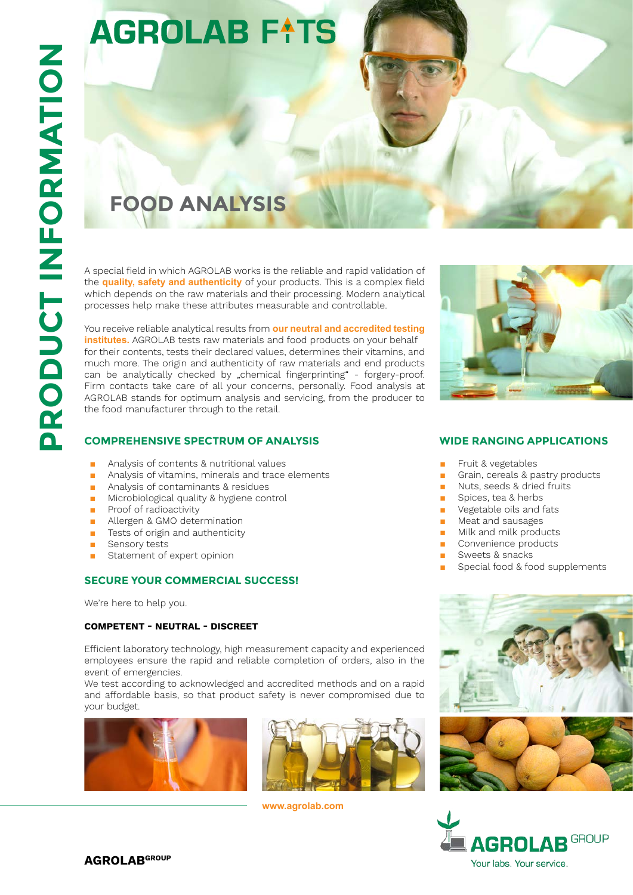# **AGROLAB FATS**

## **Food Analys s**

A special field in which AGROLAB works is the reliable and rapid validation of the **quality, safety and authenticity** of your products. This is a complex field which depends on the raw materials and their processing. Modern analytical processes help make these attributes measurable and controllable.

You receive reliable analytical results from **our neutral and accredited testing institutes.** AGROLAB tests raw materials and food products on your behalf for their contents, tests their declared values, determines their vitamins, and much more. The origin and authenticity of raw materials and end products can be analytically checked by "chemical fingerprinting" - forgery-proof. Firm contacts take care of all your concerns, personally. Food analysis at AGROLAB stands for optimum analysis and servicing, from the producer to the food manufacturer through to the retail.

### **COMPREHENSIVE SPECTRUM OF ANALYSIS**

- Analysis of contents & nutritional values
- Analysis of vitamins, minerals and trace elements
- Analysis of contaminants & residues
- Microbiological quality & hygiene control
- Proof of radioactivity
- Allergen & GMO determination
- Tests of origin and authenticity
- Sensory tests
- Statement of expert opinion

#### **SECURE YOUR COMMERCIAL SUCCESS!**

We're here to help you.

#### **Competent - neutral - dis creet**

Efficient laboratory technology, high measurement capacity and experienced employees ensure the rapid and reliable completion of orders, also in the event of emergencies.

We test according to acknowledged and accredited methods and on a rapid and affordable basis, so that product safety is never compromised due to your budget.





**www.agrolab.com**



#### **WIDE RANGING APP LICATION S**

- Fruit & vegetables
- Grain, cereals & pastry products
- Nuts, seeds & dried fruits
- Spices, tea & herbs
- Vegetable oils and fats
- Meat and sausages
- Milk and milk products
- Convenience products
- Sweets & snacks
- Special food & food supplements